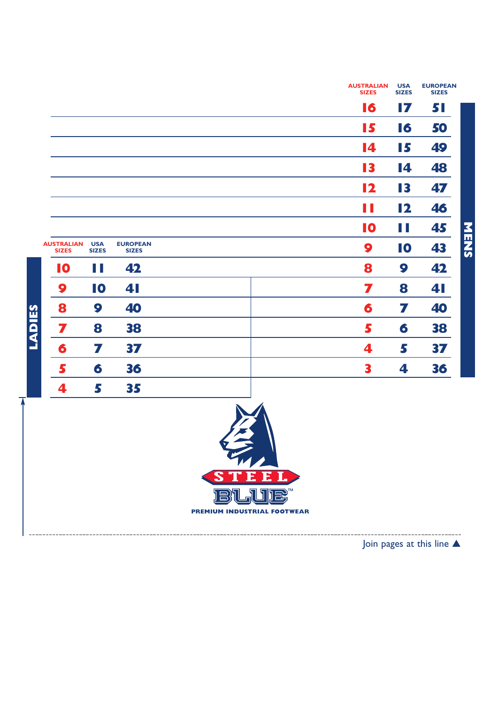|                            |                                 |  | 16<br>15<br>14            | 17<br>16 | 51<br>50 |             |
|----------------------------|---------------------------------|--|---------------------------|----------|----------|-------------|
|                            |                                 |  |                           |          |          |             |
|                            |                                 |  |                           |          |          |             |
|                            |                                 |  |                           | 15       | 49       |             |
|                            |                                 |  | 13                        | 14       | 48       |             |
|                            |                                 |  | 12                        | 13       | 47       |             |
|                            |                                 |  | H                         | 12       | 46       |             |
|                            |                                 |  | 10                        | N.       | 45       |             |
| <b>USA</b><br><b>SIZES</b> | <b>EUROPEAN</b><br><b>SIZES</b> |  | 9                         | 10       | 43       | <b>NENS</b> |
| H                          | 42                              |  | 8                         | 9        | 42       |             |
| 10                         | 41                              |  | 7                         | 8        | 41       |             |
| 9                          | 40                              |  | 6                         | 7        | 40       |             |
| 8                          | 38                              |  | 5                         | 6        | 38       |             |
| 7                          | 37                              |  | 4                         | 5        | 37       |             |
| 6                          | 36                              |  | 3                         | 4        | 36       |             |
| 5                          | 35                              |  |                           |          |          |             |
|                            |                                 |  | $\mathbf{X}$ $\mathbf{A}$ |          |          |             |



------------------------

Join pages at this line ▲

----